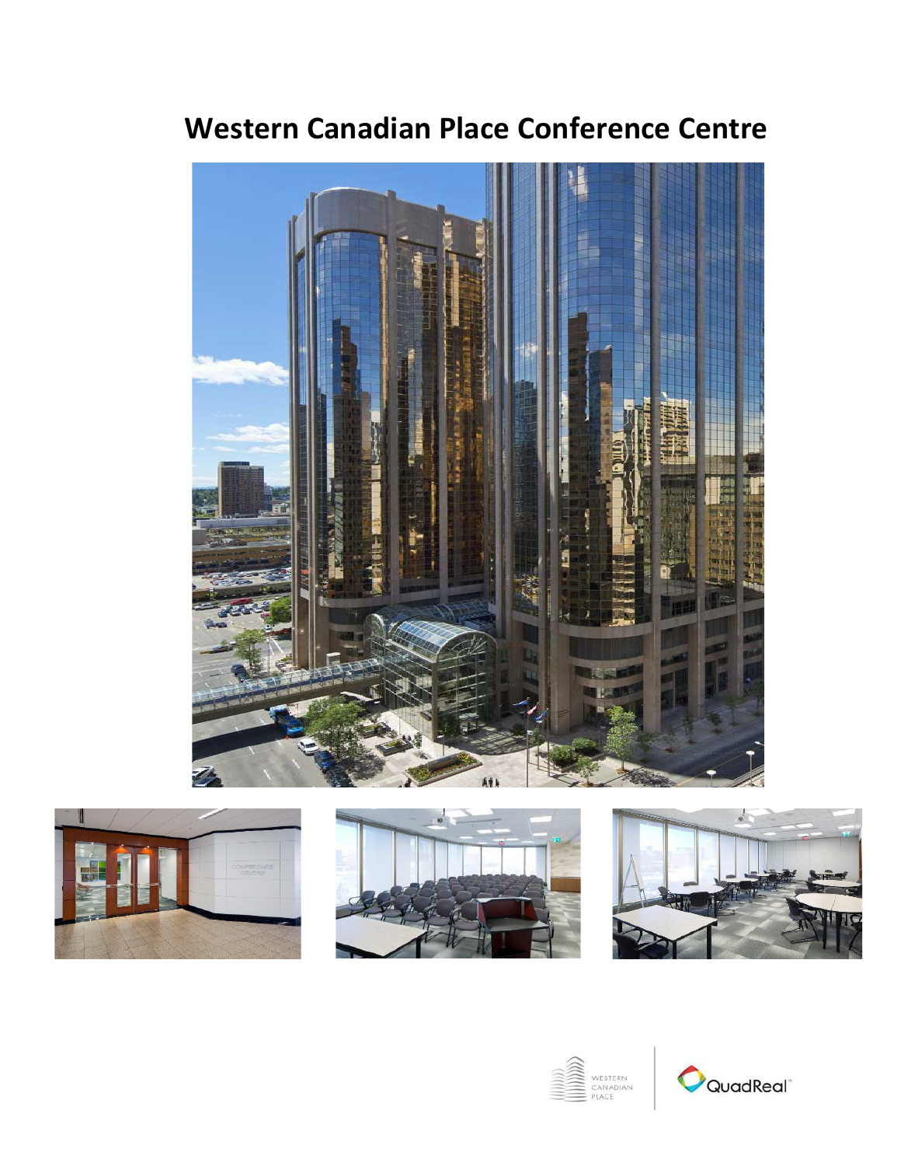

# **Western Canadian Place Conference Centre**









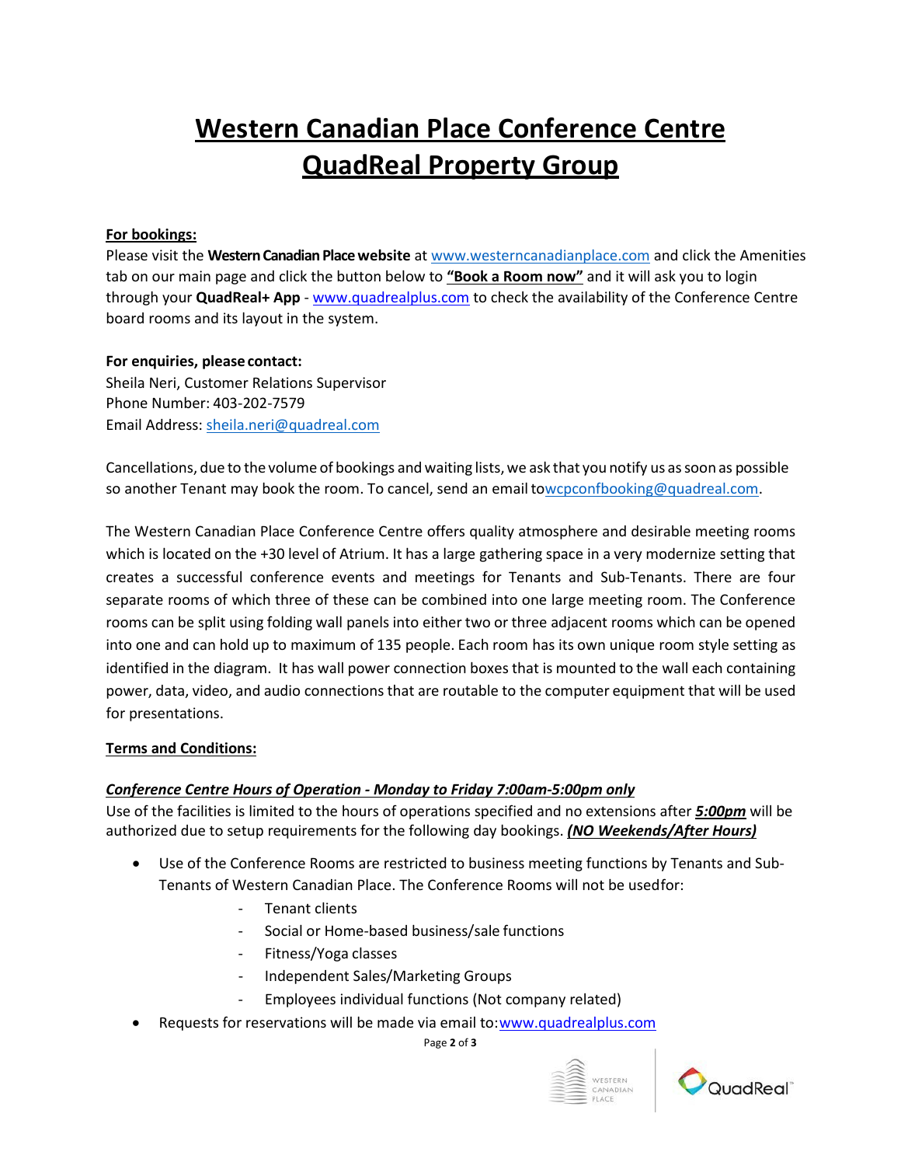# **Western Canadian Place Conference Centre QuadReal Property Group**

### **For bookings:**

Please visit the **Western Canadian Place website** at [www.westerncanadianplace.com](http://www.westerncanadianplace.com/) and click the Amenities tab on our main page and click the button below to **"Book a Room now"** and it will ask you to login through your **QuadReal+ App** - [www.quadrealplus.com](http://www.quadrealplus.com/) to check the availability of the Conference Centre board rooms and its layout in the system.

### **For enquiries, please contact:**

Sheila Neri, Customer Relations Supervisor Phone Number: 403-202-7579 Email Address: [sheila.neri@quadreal.com](mailto:sheila.neri@quadreal.com)

Cancellations, due to the volume of bookings and waiting lists, we ask that you notify us as soon as possible so another Tenant may book the room. To cancel, send an email t[owcpconfbooking@quadreal.com.](mailto:wcpconfbooking@quadreal.com)

The Western Canadian Place Conference Centre offers quality atmosphere and desirable meeting rooms which is located on the +30 level of Atrium. It has a large gathering space in a very modernize setting that creates a successful conference events and meetings for Tenants and Sub-Tenants. There are four separate rooms of which three of these can be combined into one large meeting room. The Conference rooms can be split using folding wall panels into either two or three adjacent rooms which can be opened into one and can hold up to maximum of 135 people. Each room has its own unique room style setting as identified in the diagram. It has wall power connection boxes that is mounted to the wall each containing power, data, video, and audio connections that are routable to the computer equipment that will be used for presentations.

#### **Terms and Conditions:**

## *Conference Centre Hours of Operation - Monday to Friday 7:00am-5:00pm only*

Use of the facilities is limited to the hours of operations specified and no extensions after *5:00pm* will be authorized due to setup requirements for the following day bookings. *(NO Weekends/After Hours)*

- Use of the Conference Rooms are restricted to business meeting functions by Tenants and Sub-Tenants of Western Canadian Place. The Conference Rooms will not be usedfor:
	- Tenant clients
	- Social or Home-based business/sale functions
	- Fitness/Yoga classes
	- Independent Sales/Marketing Groups
	- Employees individual functions (Not company related)
- Requests for reservations will be made via email to[:www.quadrealplus.com](http://www.quadrealplus.com/)

Page **2** of **3**